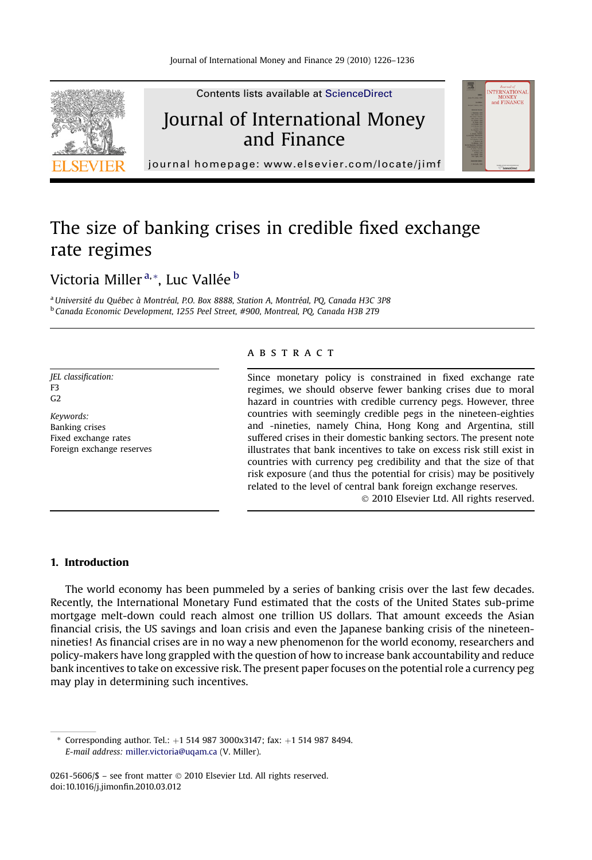

Contents lists available at ScienceDirect

## Journal of International Money and Finance



journal homepage:<www.elsevier.com/locate/jimf>

# The size of banking crises in credible fixed exchange rate regimes

### Victoria Miller<sup>a,\*</sup>, Luc Vallée<sup>b</sup>

<sup>a</sup> Université du Québec à Montréal, P.O. Box 8888, Station A, Montréal, PQ, Canada H3C 3P8 <sup>b</sup> Canada Economic Development, 1255 Peel Street, #900, Montreal, PQ, Canada H3B 2T9

JEL classification: F3 G2

Keywords: Banking crises Fixed exchange rates Foreign exchange reserves

#### **ABSTRACT**

Since monetary policy is constrained in fixed exchange rate regimes, we should observe fewer banking crises due to moral hazard in countries with credible currency pegs. However, three countries with seemingly credible pegs in the nineteen-eighties and -nineties, namely China, Hong Kong and Argentina, still suffered crises in their domestic banking sectors. The present note illustrates that bank incentives to take on excess risk still exist in countries with currency peg credibility and that the size of that risk exposure (and thus the potential for crisis) may be positively related to the level of central bank foreign exchange reserves.

2010 Elsevier Ltd. All rights reserved.

#### 1. Introduction

The world economy has been pummeled by a series of banking crisis over the last few decades. Recently, the International Monetary Fund estimated that the costs of the United States sub-prime mortgage melt-down could reach almost one trillion US dollars. That amount exceeds the Asian financial crisis, the US savings and loan crisis and even the Japanese banking crisis of the nineteennineties! As financial crises are in no way a new phenomenon for the world economy, researchers and policy-makers have long grappled with the question of how to increase bank accountability and reduce bank incentives to take on excessive risk. The present paper focuses on the potential role a currency peg may play in determining such incentives.

\* Corresponding author. Tel.:  $+1$  514 987 3000x3147; fax:  $+1$  514 987 8494. E-mail address: [miller.victoria@uqam.ca](mailto:miller.victoria@uqam.ca) (V. Miller).

0261-5606/\$ - see front matter © 2010 Elsevier Ltd. All rights reserved. doi:10.1016/j.jimonfin.2010.03.012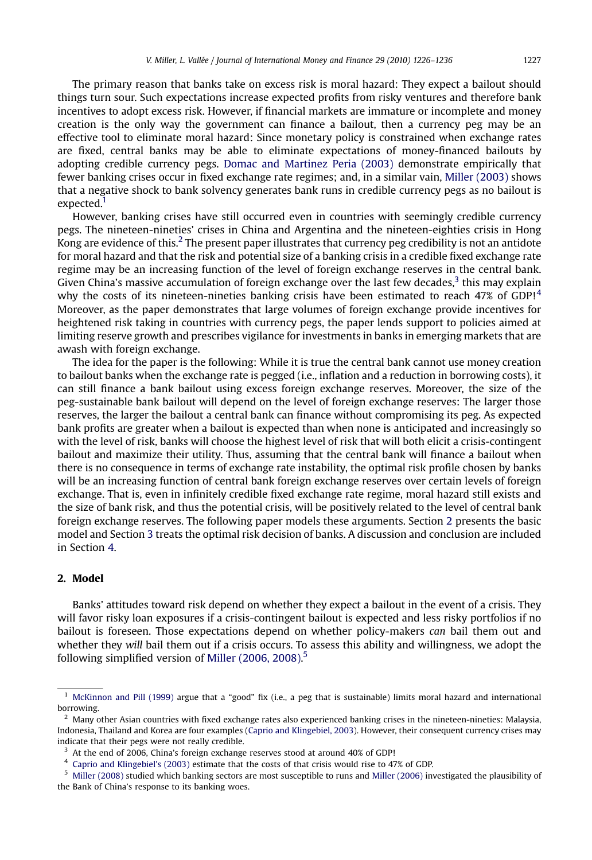The primary reason that banks take on excess risk is moral hazard: They expect a bailout should things turn sour. Such expectations increase expected profits from risky ventures and therefore bank incentives to adopt excess risk. However, if financial markets are immature or incomplete and money creation is the only way the government can finance a bailout, then a currency peg may be an effective tool to eliminate moral hazard: Since monetary policy is constrained when exchange rates are fixed, central banks may be able to eliminate expectations of money-financed bailouts by adopting credible currency pegs. [Domac and Martinez Peria \(2003\)](#page--1-0) demonstrate empirically that fewer banking crises occur in fixed exchange rate regimes; and, in a similar vain, [Miller \(2003\)](#page--1-0) shows that a negative shock to bank solvency generates bank runs in credible currency pegs as no bailout is expected.<sup>1</sup>

However, banking crises have still occurred even in countries with seemingly credible currency pegs. The nineteen-nineties' crises in China and Argentina and the nineteen-eighties crisis in Hong Kong are evidence of this.<sup>2</sup> The present paper illustrates that currency peg credibility is not an antidote for moral hazard and that the risk and potential size of a banking crisis in a credible fixed exchange rate regime may be an increasing function of the level of foreign exchange reserves in the central bank. Given China's massive accumulation of foreign exchange over the last few decades, $3$  this may explain why the costs of its nineteen-nineties banking crisis have been estimated to reach  $47\%$  of GDP!<sup>4</sup> Moreover, as the paper demonstrates that large volumes of foreign exchange provide incentives for heightened risk taking in countries with currency pegs, the paper lends support to policies aimed at limiting reserve growth and prescribes vigilance for investments in banks in emerging markets that are awash with foreign exchange.

The idea for the paper is the following: While it is true the central bank cannot use money creation to bailout banks when the exchange rate is pegged (i.e., inflation and a reduction in borrowing costs), it can still finance a bank bailout using excess foreign exchange reserves. Moreover, the size of the peg-sustainable bank bailout will depend on the level of foreign exchange reserves: The larger those reserves, the larger the bailout a central bank can finance without compromising its peg. As expected bank profits are greater when a bailout is expected than when none is anticipated and increasingly so with the level of risk, banks will choose the highest level of risk that will both elicit a crisis-contingent bailout and maximize their utility. Thus, assuming that the central bank will finance a bailout when there is no consequence in terms of exchange rate instability, the optimal risk profile chosen by banks will be an increasing function of central bank foreign exchange reserves over certain levels of foreign exchange. That is, even in infinitely credible fixed exchange rate regime, moral hazard still exists and the size of bank risk, and thus the potential crisis, will be positively related to the level of central bank foreign exchange reserves. The following paper models these arguments. Section 2 presents the basic model and Section [3](#page--1-0) treats the optimal risk decision of banks. A discussion and conclusion are included in Section [4](#page--1-0).

#### 2. Model

Banks' attitudes toward risk depend on whether they expect a bailout in the event of a crisis. They will favor risky loan exposures if a crisis-contingent bailout is expected and less risky portfolios if no bailout is foreseen. Those expectations depend on whether policy-makers can bail them out and whether they will bail them out if a crisis occurs. To assess this ability and willingness, we adopt the following simplified version of [Miller \(2006, 2008\).](#page--1-0) 5

 $1$  [McKinnon and Pill \(1999\)](#page--1-0) argue that a "good" fix (i.e., a peg that is sustainable) limits moral hazard and international borrowing.

 $<sup>2</sup>$  Many other Asian countries with fixed exchange rates also experienced banking crises in the nineteen-nineties: Malaysia,</sup> Indonesia, Thailand and Korea are four examples [\(Caprio and Klingebiel, 2003\)](#page--1-0). However, their consequent currency crises may indicate that their pegs were not really credible.

<sup>&</sup>lt;sup>3</sup> At the end of 2006, China's foreign exchange reserves stood at around 40% of GDP!

<sup>4</sup> [Caprio and Klingebiel](#page--1-0)'s (2003) estimate that the costs of that crisis would rise to 47% of GDP.

<sup>5</sup> [Miller \(2008\)](#page--1-0) studied which banking sectors are most susceptible to runs and [Miller \(2006\)](#page--1-0) investigated the plausibility of the Bank of China's response to its banking woes.